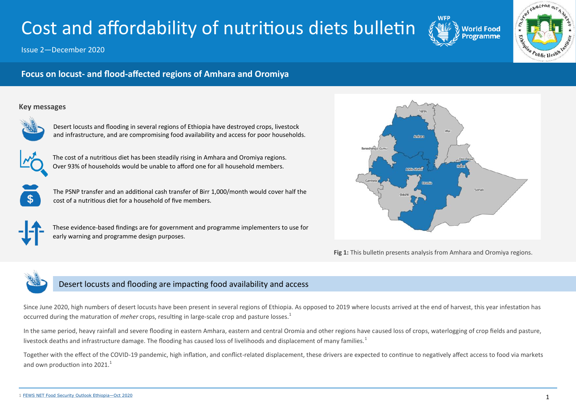# Cost and affordability of nutritious diets bulletin

Issue 2—December 2020





# **Focus on locust- and flood-affected regions of Amhara and Oromiya**

## **Key messages**



Desert locusts and flooding in several regions of Ethiopia have destroyed crops, livestock and infrastructure, and are compromising food availability and access for poor households.



The cost of a nutritious diet has been steadily rising in Amhara and Oromiya regions. Over 93% of households would be unable to afford one for all household members.



The PSNP transfer and an additional cash transfer of Birr 1,000/month would cover half the cost of a nutritious diet for a household of five members.



These evidence-based findings are for government and programme implementers to use for early warning and programme design purposes.



**Fig 1:** This bulletin presents analysis from Amhara and Oromiya regions.



# Desert locusts and flooding are impacting food availability and access

Since June 2020, high numbers of desert locusts have been present in several regions of Ethiopia. As opposed to 2019 where locusts arrived at the end of harvest, this year infestation has occurred during the maturation of *meher* crops, resulting in large-scale crop and pasture losses.<sup>1</sup>

In the same period, heavy rainfall and severe flooding in eastern Amhara, eastern and central Oromia and other regions have caused loss of crops, waterlogging of crop fields and pasture, livestock deaths and infrastructure damage. The flooding has caused loss of livelihoods and displacement of many families.<sup>1</sup>

Together with the effect of the COVID-19 pandemic, high inflation, and conflict-related displacement, these drivers are expected to continue to negatively affect access to food via markets and own production into  $2021.<sup>1</sup>$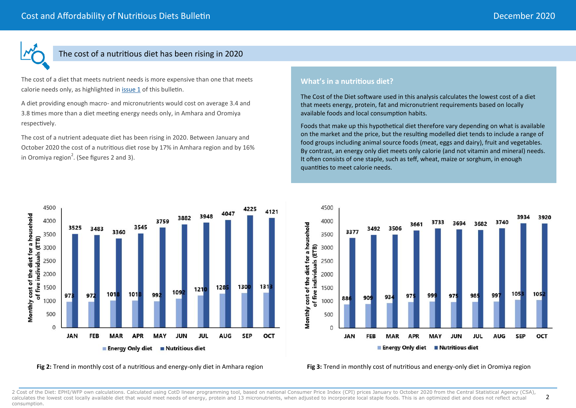2



4500

4000

3500

3000

2500

2000

1500

1000

500

 $\Omega$ 

973

**JAN** 

3525

3483

972

**FEB** 

3360

101

**MAR** 

Monthly cost of the diet for a household

of five individuals (ETB)

## The cost of a nutritious diet has been rising in 2020

The cost of a diet that meets nutrient needs is more expensive than one that meets calorie needs only, as highlighted in [issue 1](https://www.ephi.gov.et/images/Ethiopia-issue-1-0720-Final.pdf) of this bulletin.

A diet providing enough macro- and micronutrients would cost on average 3.4 and 3.8 times more than a diet meeting energy needs only, in Amhara and Oromiya respectively.

The cost of a nutrient adequate diet has been rising in 2020. Between January and October 2020 the cost of a nutritious diet rose by 17% in Amhara region and by 16% in Oromiya region<sup>2</sup>. (See figures 2 and 3).

3545

101

**APR** 

## **What's in a nutritious diet?**

The Cost of the Diet software used in this analysis calculates the lowest cost of a diet that meets energy, protein, fat and micronutrient requirements based on locally available foods and local consumption habits.

Foods that make up this hypothetical diet therefore vary depending on what is available on the market and the price, but the resulting modelled diet tends to include a range of food groups including animal source foods (meat, eggs and dairy), fruit and vegetables. By contrast, an energy only diet meets only calorie (and not vitamin and mineral) needs. It often consists of one staple, such as teff, wheat, maize or sorghum, in enough quantities to meet calorie needs.



#### **Fig 2:** Trend in monthly cost of a nutritious and energy-only diet in Amhara region **Fig 3:** Trend in monthly cost of nutritious and energy-only diet in Oromiya region

992

**MAY** 

**Energy Only diet Butritious diet** 

2 Cost of the Diet: EPHI/WFP own calculations. Calculated using CotD linear programming tool, based on national Consumer Price Index (CPI) prices January to October 2020 from the Central Statistical Agency (CSA), calculates the lowest cost locally available diet that would meet needs of energy, protein and 13 micronutrients, when adjusted to incorporate local staple foods. This is an optimized diet and does not reflect actual consumption.

4225

4047

128

**AUG** 

3948

 $121$ 

JUL

3882

109

**JUN** 

3759

4121

 $131$ 

OCT

1300

**SEP**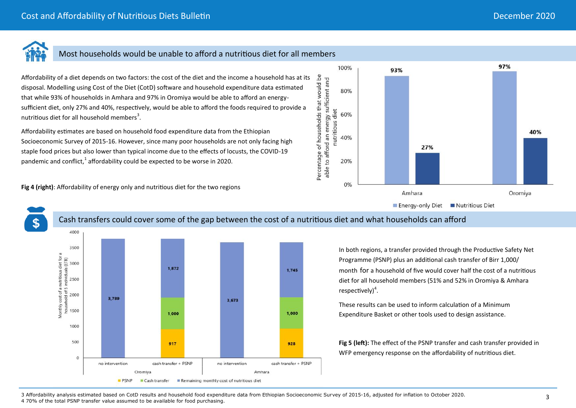40%

Oromiya

97%



# Most households would be unable to afford a nutritious diet for all members

Affordability of a diet depends on two factors: the cost of the diet and the income a household has at its go disposal. Modelling using Cost of the Diet (CotD) software and household expenditure data estimated that while 93% of households in Amhara and 97% in Oromiya would be able to afford an energysufficient diet, only 27% and 40%, respectively, would be able to afford the foods required to provide a nutritious diet for all household members<sup>3</sup>.

Affordability estimates are based on household food expenditure data from the Ethiopian Socioeconomic Survey of 2015-16. However, since many poor households are not only facing high staple food prices but also lower than typical income due to the effects of locusts, the COVID-19 pandemic and conflict, $1$  affordability could be expected to be worse in 2020.

**Fig 4 (right)**: Affordability of energy only and nutritious diet for the two regions



4000

## Cash transfers could cover some of the gap between the cost of a nutritious diet and what households can afford

100%

80%

60%

40%

20%

0%

Percentage of households that would be<br>able to afford an energy sufficient and

nutritious diet

93%



In both regions, a transfer provided through the Productive Safety Net Programme (PSNP) plus an additional cash transfer of Birr 1,000/ month for a household of five would cover half the cost of a nutritious diet for all household members (51% and 52% in Oromiya & Amhara  $respectively)<sup>4</sup>.$ 

**Nutritious Diet** 

These results can be used to inform calculation of a Minimum Expenditure Basket or other tools used to design assistance.

27%

Amhara

Energy-only Diet

**Fig 5 (left):** The effect of the PSNP transfer and cash transfer provided in WFP emergency response on the affordability of nutritious diet.

3 Affordability analysis estimated based on CotD results and household food expenditure data from Ethiopian Socioeconomic Survey of 2015-16, adjusted for inflation to October 2020. 4 70% of the total PSNP transfer value assumed to be available for food purchasing.